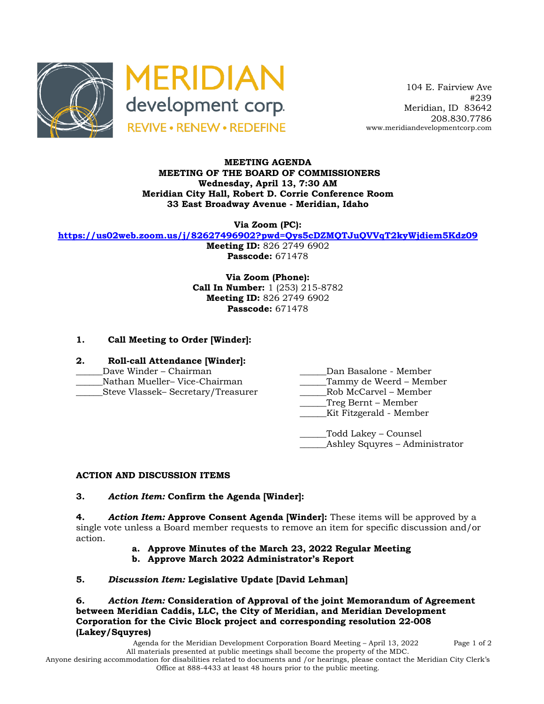



 104 E. Fairview Ave #239 Meridian, ID 83642 208.830.7786 www.meridiandevelopmentcorp.com

### **MEETING AGENDA MEETING OF THE BOARD OF COMMISSIONERS Wednesday, April 13, 7:30 AM Meridian City Hall, Robert D. Corrie Conference Room 33 East Broadway Avenue - Meridian, Idaho**

**Via Zoom (PC):**

**https://us02web.zoom.us/j/82627496902?pwd=Qys5cDZMQTJuQVVqT2kyWjdiem5Kdz09**

**Meeting ID:** 826 2749 6902 **Passcode:** 671478

**Via Zoom (Phone): Call In Number:** 1 (253) 215-8782 **Meeting ID:** 826 2749 6902 **Passcode:** 671478

# **1. Call Meeting to Order [Winder]:**

- **2. Roll-call Attendance [Winder]:**
- 
- 
- 
- \_\_\_\_\_\_Dave Winder Chairman \_\_\_\_\_\_Dan Basalone Member
- \_\_\_\_\_\_Nathan Mueller– Vice-Chairman \_\_\_\_\_\_Tammy de Weerd Member
- \_\_\_\_\_\_Steve Vlassek– Secretary/Treasurer \_\_\_\_\_\_Rob McCarvel Member
	- \_\_\_\_\_\_Treg Bernt Member
		- \_\_\_\_\_\_Kit Fitzgerald Member
	- \_\_\_\_\_\_Todd Lakey Counsel \_\_\_\_\_\_Ashley Squyres – Administrator

# **ACTION AND DISCUSSION ITEMS**

### **3.** *Action Item:* **Confirm the Agenda [Winder]:**

**4.** *Action Item:* **Approve Consent Agenda [Winder]:** These items will be approved by a single vote unless a Board member requests to remove an item for specific discussion and/or action.

- **a. Approve Minutes of the March 23, 2022 Regular Meeting**
- **b. Approve March 2022 Administrator's Report**

# **5.** *Discussion Item:* **Legislative Update [David Lehman]**

**6.** *Action Item:* **Consideration of Approval of the joint Memorandum of Agreement between Meridian Caddis, LLC, the City of Meridian, and Meridian Development Corporation for the Civic Block project and corresponding resolution 22-008 (Lakey/Squyres)**

Agenda for the Meridian Development Corporation Board Meeting – April 13, 2022 Page 1 of 2 All materials presented at public meetings shall become the property of the MDC. Anyone desiring accommodation for disabilities related to documents and /or hearings, please contact the Meridian City Clerk's Office at 888-4433 at least 48 hours prior to the public meeting.